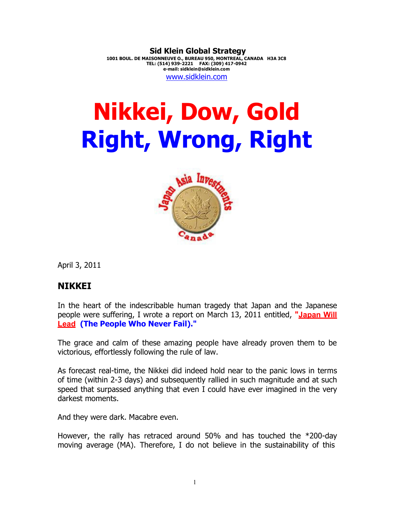**Sid Klein Global Strategy 1001 BOUL. DE MAISONNEUVE O., BUREAU 950, MONTREAL, CANADA H3A 3C8 TEL: (514) 939-2221 FAX: (309) 417-0942 e-mail: sidklein@sidklein.com** www.sidklein.com

# **Nikkei, Dow, Gold Right, Wrong, Right**



April 3, 2011

### **NIKKEI**

In the heart of the indescribable human tragedy that Japan and the Japanese people were suffering, I wrote a report on March 13, 2011 entitled, **"Japan Will Lead (The People Who Never Fail)."**

The grace and calm of these amazing people have already proven them to be victorious, effortlessly following the rule of law.

As forecast real-time, the Nikkei did indeed hold near to the panic lows in terms of time (within 2-3 days) and subsequently rallied in such magnitude and at such speed that surpassed anything that even I could have ever imagined in the very darkest moments.

And they were dark. Macabre even.

However, the rally has retraced around 50% and has touched the \*200-day moving average (MA). Therefore, I do not believe in the sustainability of this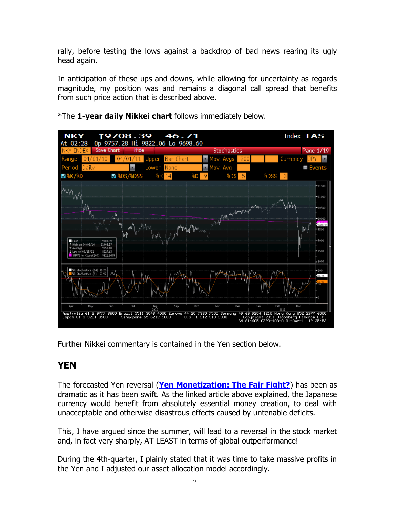rally, before testing the lows against a backdrop of bad news rearing its ugly head again.

In anticipation of these ups and downs, while allowing for uncertainty as regards magnitude, my position was and remains a diagonal call spread that benefits from such price action that is described above.



\*The **1-year daily Nikkei chart** follows immediately below.

Further Nikkei commentary is contained in the Yen section below.

## **YEN**

The forecasted Yen reversal (**Yen Monetization: The Fair Fight?**) has been as dramatic as it has been swift. As the linked article above explained, the Japanese currency would benefit from absolutely essential money creation, to deal with unacceptable and otherwise disastrous effects caused by untenable deficits.

This, I have argued since the summer, will lead to a reversal in the stock market and, in fact very sharply, AT LEAST in terms of global outperformance!

During the 4th-quarter, I plainly stated that it was time to take massive profits in the Yen and I adjusted our asset allocation model accordingly.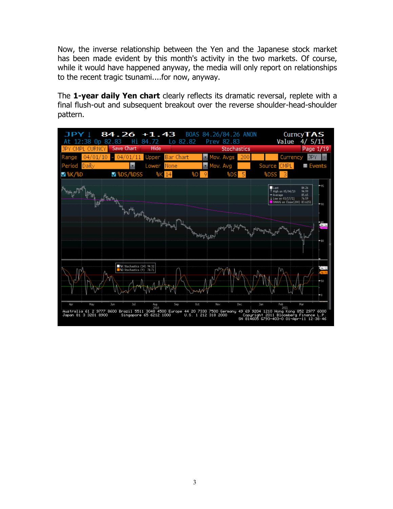Now, the inverse relationship between the Yen and the Japanese stock market has been made evident by this month's activity in the two markets. Of course, while it would have happened anyway, the media will only report on relationships to the recent tragic tsunami....for now, anyway.

The **1-year daily Yen chart** clearly reflects its dramatic reversal, replete with a final flush-out and subsequent breakout over the reverse shoulder-head-shoulder pattern.